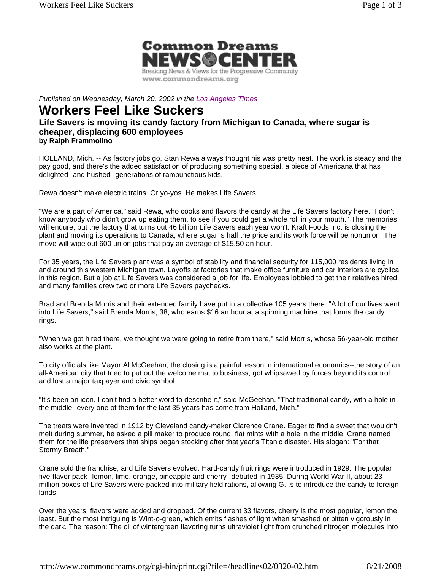

*Published on Wednesday, March 20, 2002 in the Los Angeles Times*

## **Workers Feel Like Suckers**

## **Life Savers is moving its candy factory from Michigan to Canada, where sugar is cheaper, displacing 600 employees by Ralph Frammolino**

HOLLAND, Mich. -- As factory jobs go, Stan Rewa always thought his was pretty neat. The work is steady and the pay good, and there's the added satisfaction of producing something special, a piece of Americana that has delighted--and hushed--generations of rambunctious kids.

Rewa doesn't make electric trains. Or yo-yos. He makes Life Savers.

"We are a part of America," said Rewa, who cooks and flavors the candy at the Life Savers factory here. "I don't know anybody who didn't grow up eating them, to see if you could get a whole roll in your mouth." The memories will endure, but the factory that turns out 46 billion Life Savers each year won't. Kraft Foods Inc. is closing the plant and moving its operations to Canada, where sugar is half the price and its work force will be nonunion. The move will wipe out 600 union jobs that pay an average of \$15.50 an hour.

For 35 years, the Life Savers plant was a symbol of stability and financial security for 115,000 residents living in and around this western Michigan town. Layoffs at factories that make office furniture and car interiors are cyclical in this region. But a job at Life Savers was considered a job for life. Employees lobbied to get their relatives hired, and many families drew two or more Life Savers paychecks.

Brad and Brenda Morris and their extended family have put in a collective 105 years there. "A lot of our lives went into Life Savers," said Brenda Morris, 38, who earns \$16 an hour at a spinning machine that forms the candy rings.

"When we got hired there, we thought we were going to retire from there," said Morris, whose 56-year-old mother also works at the plant.

To city officials like Mayor Al McGeehan, the closing is a painful lesson in international economics--the story of an all-American city that tried to put out the welcome mat to business, got whipsawed by forces beyond its control and lost a major taxpayer and civic symbol.

"It's been an icon. I can't find a better word to describe it," said McGeehan. "That traditional candy, with a hole in the middle--every one of them for the last 35 years has come from Holland, Mich."

The treats were invented in 1912 by Cleveland candy-maker Clarence Crane. Eager to find a sweet that wouldn't melt during summer, he asked a pill maker to produce round, flat mints with a hole in the middle. Crane named them for the life preservers that ships began stocking after that year's Titanic disaster. His slogan: "For that Stormy Breath."

Crane sold the franchise, and Life Savers evolved. Hard-candy fruit rings were introduced in 1929. The popular five-flavor pack--lemon, lime, orange, pineapple and cherry--debuted in 1935. During World War II, about 23 million boxes of Life Savers were packed into military field rations, allowing G.I.s to introduce the candy to foreign lands.

Over the years, flavors were added and dropped. Of the current 33 flavors, cherry is the most popular, lemon the least. But the most intriguing is Wint-o-green, which emits flashes of light when smashed or bitten vigorously in the dark. The reason: The oil of wintergreen flavoring turns ultraviolet light from crunched nitrogen molecules into

http://www.commondreams.org/cgi-bin/print.cgi?file=/headlines02/0320-02.htm 8/21/2008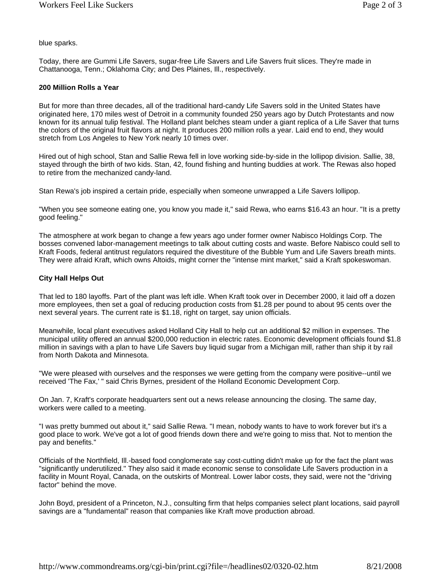blue sparks.

Today, there are Gummi Life Savers, sugar-free Life Savers and Life Savers fruit slices. They're made in Chattanooga, Tenn.; Oklahoma City; and Des Plaines, Ill., respectively.

## **200 Million Rolls a Year**

But for more than three decades, all of the traditional hard-candy Life Savers sold in the United States have originated here, 170 miles west of Detroit in a community founded 250 years ago by Dutch Protestants and now known for its annual tulip festival. The Holland plant belches steam under a giant replica of a Life Saver that turns the colors of the original fruit flavors at night. It produces 200 million rolls a year. Laid end to end, they would stretch from Los Angeles to New York nearly 10 times over.

Hired out of high school, Stan and Sallie Rewa fell in love working side-by-side in the lollipop division. Sallie, 38, stayed through the birth of two kids. Stan, 42, found fishing and hunting buddies at work. The Rewas also hoped to retire from the mechanized candy-land.

Stan Rewa's job inspired a certain pride, especially when someone unwrapped a Life Savers lollipop.

"When you see someone eating one, you know you made it," said Rewa, who earns \$16.43 an hour. "It is a pretty good feeling."

The atmosphere at work began to change a few years ago under former owner Nabisco Holdings Corp. The bosses convened labor-management meetings to talk about cutting costs and waste. Before Nabisco could sell to Kraft Foods, federal antitrust regulators required the divestiture of the Bubble Yum and Life Savers breath mints. They were afraid Kraft, which owns Altoids, might corner the "intense mint market," said a Kraft spokeswoman.

## **City Hall Helps Out**

That led to 180 layoffs. Part of the plant was left idle. When Kraft took over in December 2000, it laid off a dozen more employees, then set a goal of reducing production costs from \$1.28 per pound to about 95 cents over the next several years. The current rate is \$1.18, right on target, say union officials.

Meanwhile, local plant executives asked Holland City Hall to help cut an additional \$2 million in expenses. The municipal utility offered an annual \$200,000 reduction in electric rates. Economic development officials found \$1.8 million in savings with a plan to have Life Savers buy liquid sugar from a Michigan mill, rather than ship it by rail from North Dakota and Minnesota.

"We were pleased with ourselves and the responses we were getting from the company were positive--until we received 'The Fax,' " said Chris Byrnes, president of the Holland Economic Development Corp.

On Jan. 7, Kraft's corporate headquarters sent out a news release announcing the closing. The same day, workers were called to a meeting.

"I was pretty bummed out about it," said Sallie Rewa. "I mean, nobody wants to have to work forever but it's a good place to work. We've got a lot of good friends down there and we're going to miss that. Not to mention the pay and benefits."

Officials of the Northfield, Ill.-based food conglomerate say cost-cutting didn't make up for the fact the plant was "significantly underutilized." They also said it made economic sense to consolidate Life Savers production in a facility in Mount Royal, Canada, on the outskirts of Montreal. Lower labor costs, they said, were not the "driving factor" behind the move.

John Boyd, president of a Princeton, N.J., consulting firm that helps companies select plant locations, said payroll savings are a "fundamental" reason that companies like Kraft move production abroad.